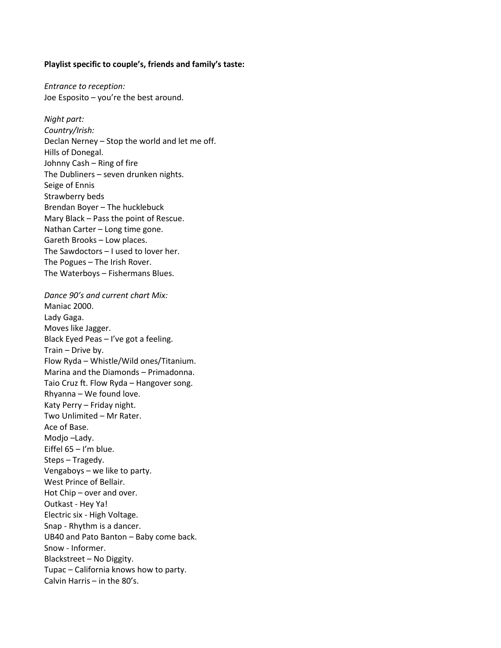## **Playlist specific to couple's, friends and family's taste:**

*Entrance to reception:*  Joe Esposito – you're the best around.

*Night part: Country/Irish:* Declan Nerney – Stop the world and let me off. Hills of Donegal. Johnny Cash – Ring of fire The Dubliners – seven drunken nights. Seige of Ennis Strawberry beds Brendan Boyer – The hucklebuck Mary Black – Pass the point of Rescue. Nathan Carter – Long time gone. Gareth Brooks – Low places. The Sawdoctors – I used to lover her. The Pogues – The Irish Rover. The Waterboys – Fishermans Blues.

*Dance 90's and current chart Mix:* Maniac 2000. Lady Gaga. Moves like Jagger. Black Eyed Peas – I've got a feeling. Train – Drive by. Flow Ryda – Whistle/Wild ones/Titanium. Marina and the Diamonds – Primadonna. Taio Cruz ft. Flow Ryda – Hangover song. Rhyanna – We found love. Katy Perry – Friday night. Two Unlimited – Mr Rater. Ace of Base. Modjo –Lady. Eiffel 65 – I'm blue. Steps – Tragedy. Vengaboys – we like to party. West Prince of Bellair. Hot Chip – over and over. Outkast - Hey Ya! Electric six - High Voltage. Snap - Rhythm is a dancer. UB40 and Pato Banton – Baby come back. Snow - Informer. Blackstreet – No Diggity. Tupac – California knows how to party. Calvin Harris – in the 80's.